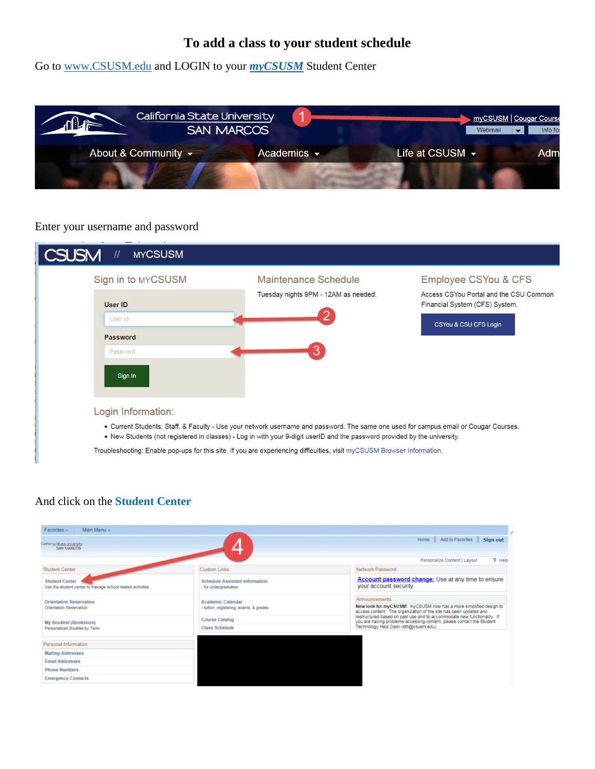# **To add a class to your student schedule**

Go to www.CSUSM.edu and LOGIN to your *myCSUSM* Student Center



#### Enter your username and password



### And click on the **Student Center**

| Main Menu -<br>Favorites -                                                           |                                                               |                                                                                                                                                         |
|--------------------------------------------------------------------------------------|---------------------------------------------------------------|---------------------------------------------------------------------------------------------------------------------------------------------------------|
| California State University<br>SAN MARCOS                                            |                                                               | Add to Favorites<br>Sign out<br>Home                                                                                                                    |
|                                                                                      |                                                               | ? Help<br>Personalize Content   Layout                                                                                                                  |
| Student Center                                                                       | <b>Custom Links</b>                                           | Network Password                                                                                                                                        |
| <b>Student Center</b><br>Use the student center to manage school related activities. | <b>Schedule Assistant Information</b><br>- for undergraduates | <b>Account password change:</b> Use at any time to ensure<br>your account security.                                                                     |
| Orientation Reservation<br>Orientation Reservation                                   | Academic Calendar<br>- tuition, registering, exams, & grades  | Announcements<br>New look for myCSUSM! myCSUSM now has a more simplified design to<br>access content. The organization of the site has been updated and |
| My Booklist (Bookstore)                                                              | <b>Course Catalog</b>                                         | restructured based on past use and to accommodate new functionality. If<br>you are having problems accessing content, please contact the Student        |
| Personalized Booklist by Term                                                        | <b>Class Schedule</b>                                         | Technology Help Desk (sth@csusm.edu).                                                                                                                   |
| Personal Information                                                                 |                                                               |                                                                                                                                                         |
| <b>Mailing Addresses</b>                                                             |                                                               |                                                                                                                                                         |
| <b>Email Addresses</b>                                                               |                                                               |                                                                                                                                                         |
| <b>Phone Numbers</b>                                                                 |                                                               |                                                                                                                                                         |
| <b>Emergency Contacts</b>                                                            |                                                               |                                                                                                                                                         |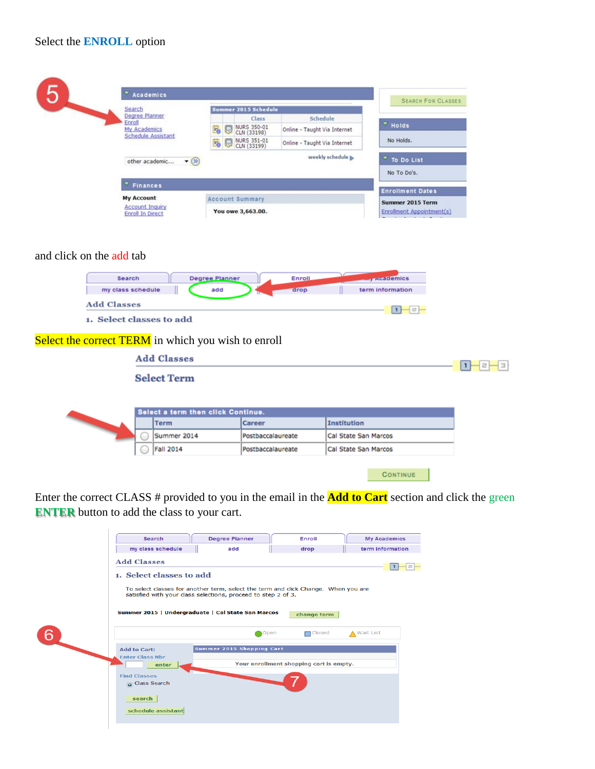| Search                                            |                        |                   | Summer 2015 Schedule       |                              |                                                      |  |
|---------------------------------------------------|------------------------|-------------------|----------------------------|------------------------------|------------------------------------------------------|--|
| Degree Planner<br>Enroll                          |                        |                   | Class                      | Schedule                     |                                                      |  |
| My Academics<br><b>Schedule Assistant</b>         | 30                     | Ŗ                 | NURS 350-01<br>CLN (33198) | Online - Taught Via Internet | Holds                                                |  |
|                                                   |                        | NURS 351-01<br>E. |                            | Online - Taught Via Internet | No Holds.                                            |  |
| other academic<br>$\blacktriangledown$            |                        |                   |                            | To Do List                   |                                                      |  |
|                                                   |                        |                   |                            |                              | No To Do's.                                          |  |
| <b>Finances</b>                                   |                        |                   |                            |                              | <b>Enrollment Dates</b>                              |  |
| <b>My Account</b>                                 | <b>Account Summary</b> |                   |                            |                              |                                                      |  |
| <b>Account Inquiry</b><br><b>Enroll In Direct</b> |                        |                   | You owe 3,663.00.          |                              | <b>Summer 2015 Term</b><br>Enrollment Appointment(s) |  |

# and click on the add tab

| Search<br>my class schedule                         |                    | Degree Planner<br>add              | Enroll<br>drop    | wy Academics<br>term information |   |
|-----------------------------------------------------|--------------------|------------------------------------|-------------------|----------------------------------|---|
| <b>Add Classes</b>                                  |                    |                                    |                   | $1 - 2 -$                        |   |
| 1. Select classes to add                            |                    |                                    |                   |                                  |   |
| Select the correct TERM in which you wish to enroll |                    |                                    |                   |                                  |   |
|                                                     | <b>Add Classes</b> |                                    |                   |                                  | Е |
|                                                     | <b>Select Term</b> |                                    |                   |                                  |   |
|                                                     |                    |                                    |                   |                                  |   |
|                                                     |                    | Select a term then click Continue. |                   |                                  |   |
|                                                     | <b>Term</b>        |                                    | Career            | <b>Institution</b>               |   |
|                                                     | Summer 2014        |                                    | Postbaccalaureate | Cal State San Marcos             |   |
|                                                     | <b>Fall 2014</b>   |                                    | Postbaccalaureate | Cal State San Marcos             |   |
|                                                     |                    |                                    |                   | <b>CONTINUE</b>                  |   |

Enter the correct CLASS # provided to you in the email in the **Add to Cart** section and click the green **ENTER** button to add the class to your cart.

| <b>Search</b>                                                       | <b>Degree Planner</b>                                                                                                                                                                                     | Enroll                                  | <b>My Academics</b> |
|---------------------------------------------------------------------|-----------------------------------------------------------------------------------------------------------------------------------------------------------------------------------------------------------|-----------------------------------------|---------------------|
| my class schedule                                                   | add                                                                                                                                                                                                       | drop                                    | term information    |
| <b>Add Classes</b>                                                  |                                                                                                                                                                                                           |                                         |                     |
| 1. Select classes to add                                            | To select classes for another term, select the term and click Change. When you are<br>satisfied with your class selections, proceed to step 2 of 3.<br>Summer 2015   Undergraduate   Cal State San Marcos | change term                             |                     |
|                                                                     | Open                                                                                                                                                                                                      | $\Box$ Closed                           | ▲ Wait List         |
| <b>Add to Cart:</b><br><b>Enter Class Nbr</b>                       | Summer 2015 Shopping Cart                                                                                                                                                                                 |                                         |                     |
| enter                                                               |                                                                                                                                                                                                           | Your enrollment shopping cart is empty. |                     |
| <b>Find Classes</b><br>Class Search<br>search<br>schedule assistant |                                                                                                                                                                                                           |                                         |                     |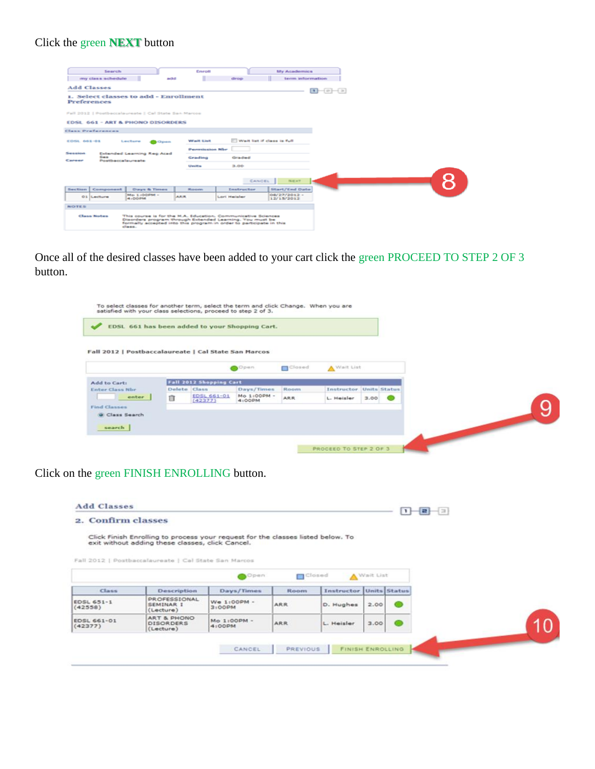# Click the green **NEXT** button

| Search                                               |                                                                                                                                                                                                           | Emroit                 |                            | <b>My Academics</b>        |  |
|------------------------------------------------------|-----------------------------------------------------------------------------------------------------------------------------------------------------------------------------------------------------------|------------------------|----------------------------|----------------------------|--|
| my class schedule                                    | add                                                                                                                                                                                                       |                        | drop                       | term information           |  |
| <b>Add Classes</b>                                   |                                                                                                                                                                                                           |                        |                            | $1 - 2 - 3$                |  |
| Preferences                                          | 1. Select classes to add - Enrollment                                                                                                                                                                     |                        |                            |                            |  |
| Fall 2012   Postbaccalaureate   Cal State San Marcos |                                                                                                                                                                                                           |                        |                            |                            |  |
| <b>EDSL 661 - ART &amp; PHONO DISORDERS</b>          |                                                                                                                                                                                                           |                        |                            |                            |  |
|                                                      |                                                                                                                                                                                                           |                        |                            |                            |  |
| <b>Class Proferences</b>                             |                                                                                                                                                                                                           |                        |                            |                            |  |
| <b>EDSL 661-01</b>                                   | Lecture<br>Open                                                                                                                                                                                           | <b>Wallie List</b>     | Wait list if class is full |                            |  |
|                                                      |                                                                                                                                                                                                           | <b>Permuission Mbr</b> |                            |                            |  |
| Securities<br>$5 - 4$<br>Cansar                      | Extended Learning Reg Acad<br>Postbaccalaureate                                                                                                                                                           | Grading                | Graded                     |                            |  |
|                                                      |                                                                                                                                                                                                           | <b>Under</b>           | 3.00                       |                            |  |
|                                                      |                                                                                                                                                                                                           |                        |                            |                            |  |
|                                                      |                                                                                                                                                                                                           |                        | CANCEL                     | NEXT                       |  |
| Section Component                                    | <b>Daryn &amp; Times</b>                                                                                                                                                                                  | Rosewa                 | <b>Instructor</b>          | Start/End Date             |  |
| O.S. Lechure                                         | Me 1-00PM -<br>4.000M                                                                                                                                                                                     | <b>ARR</b>             | Lori Heisler               | 08/27/2012 -<br>12/15/2012 |  |
| <b>NOTES</b>                                         |                                                                                                                                                                                                           |                        |                            |                            |  |
| <b>Class Notes</b>                                   | This course is for the M.A. Education, Communicative Sciences<br>Disorders program through Extended Learning. You must be<br>formally accepted into this program in order to participate in this<br>diam. |                        |                            |                            |  |

Once all of the desired classes have been added to your cart click the green PROCEED TO STEP 2 OF 3 button.

|                                                      |              |                                | EDSL 661 has been added to your Shopping Cart. |               |                         |                |  |  |
|------------------------------------------------------|--------------|--------------------------------|------------------------------------------------|---------------|-------------------------|----------------|--|--|
| Fall 2012   Postbaccalaureate   Cal State San Marcos |              |                                |                                                |               |                         |                |  |  |
|                                                      |              |                                | Open                                           | <b>Closed</b> | A Wait List             |                |  |  |
|                                                      |              |                                |                                                |               |                         |                |  |  |
| Add to Cart:                                         |              | <b>Fall 2012 Shopping Cart</b> |                                                |               |                         |                |  |  |
| Enter Class Nor                                      | Delete Class |                                | Days/Times                                     | Room          | Instructor Units Status |                |  |  |
| enter                                                | 自            | <b>EDSL 661-01</b><br>(42377)  | Mo 1:00PM -<br>4:00PM                          | <b>ARR</b>    | L. Heisler              | $3.00$ $\odot$ |  |  |
| Find Classes                                         |              |                                |                                                |               |                         |                |  |  |
| O Class Search                                       |              |                                |                                                |               |                         |                |  |  |
|                                                      |              |                                |                                                |               |                         |                |  |  |
| search                                               |              |                                |                                                |               |                         |                |  |  |

Click on the green FINISH ENROLLING button.

|                              | 2. Confirm classes                                                                                                                                                                          |               |             |                         |             |  |
|------------------------------|---------------------------------------------------------------------------------------------------------------------------------------------------------------------------------------------|---------------|-------------|-------------------------|-------------|--|
|                              | Click Finish Enrolling to process your request for the classes listed below. To<br>exit without adding these classes, click Cancel.<br>Fall 2012   Postbaccalaureate   Cal State San Marcos |               |             |                         |             |  |
|                              |                                                                                                                                                                                             | Open          | m           | Closed                  | A Wait List |  |
| <b>Class</b>                 | Description                                                                                                                                                                                 | Days/Times    | <b>Room</b> | Instructor Units Status |             |  |
|                              | <b>PROFESSIONAL</b>                                                                                                                                                                         | $W@ 1:OOPM -$ | ARR         | D. Hughes               | 2.00        |  |
| <b>EDSL 651-1</b><br>(42558) | <b>SEMINAR I</b><br>(Lecture)                                                                                                                                                               | 3:00PM        |             |                         |             |  |